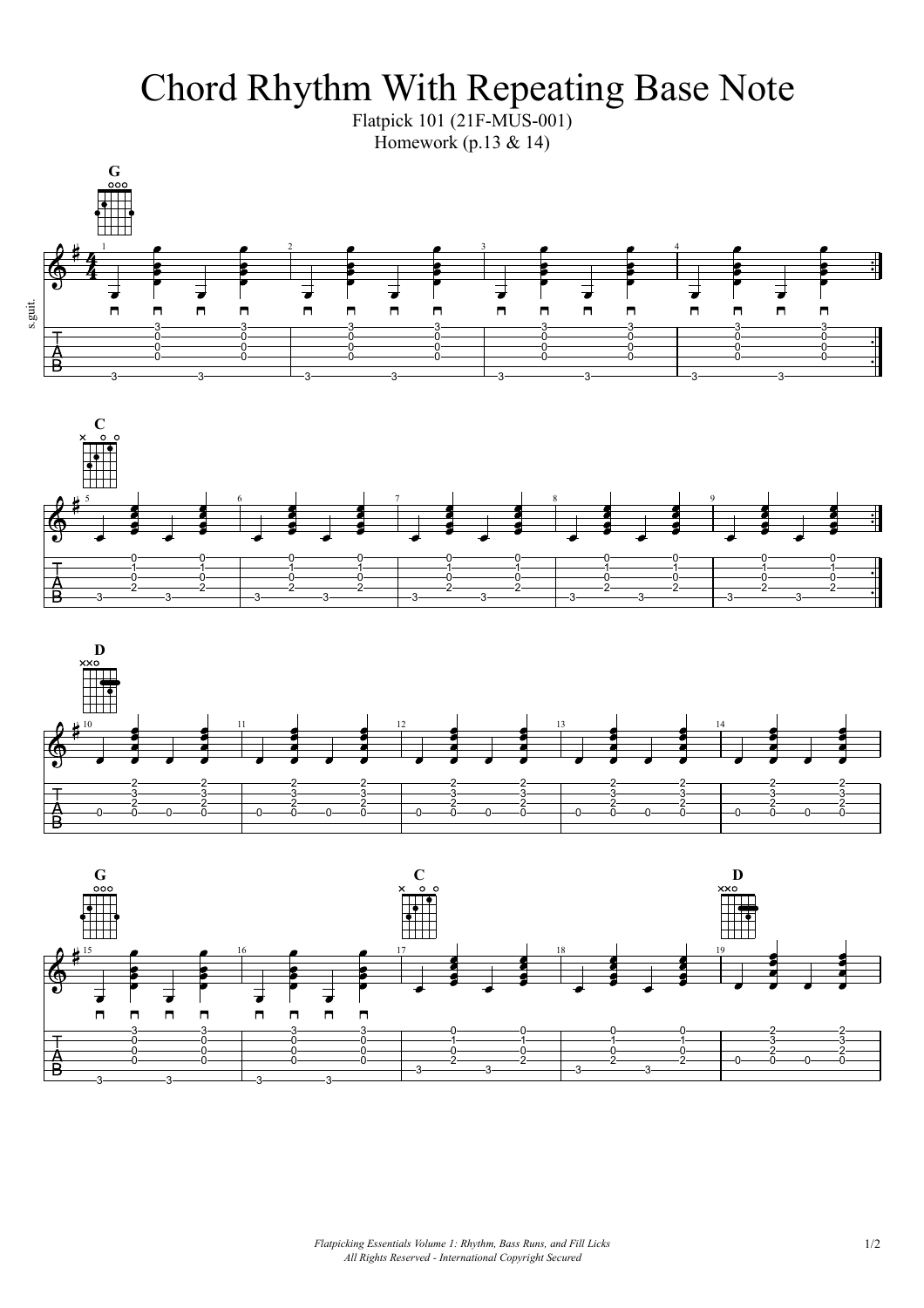Chord Rhythm With Repeating Base Note

Flatpick 101 (21F-MUS-001) Homework  $(p.13 \& 14)$